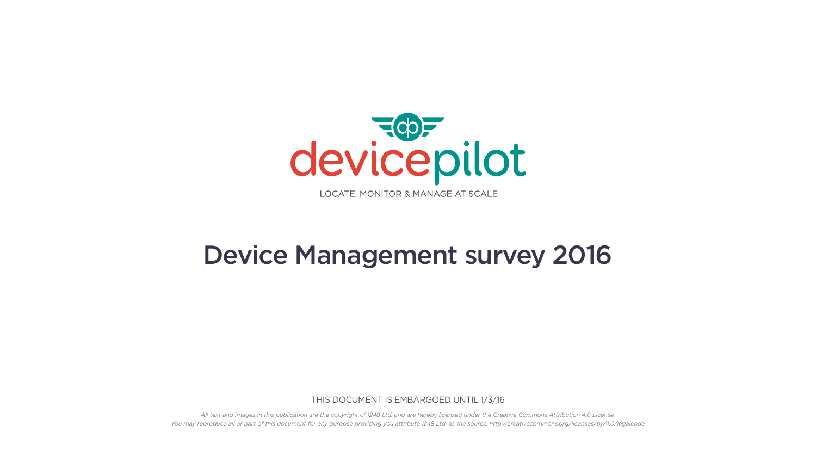

# Device Management survey 2016

THIS DOCUMENT IS EMBARGOED UNTIL 1/3/16

*All text and images in this publication are the copyright of 1248 Ltd. and are hereby licensed under the Creative Commons Attribution 4.0 License. You may reproduce all or part of this document for any purpose providing you attribute 1248 Ltd. as the source. http://creativecommons.org/licenses/by/4.0/legalcode*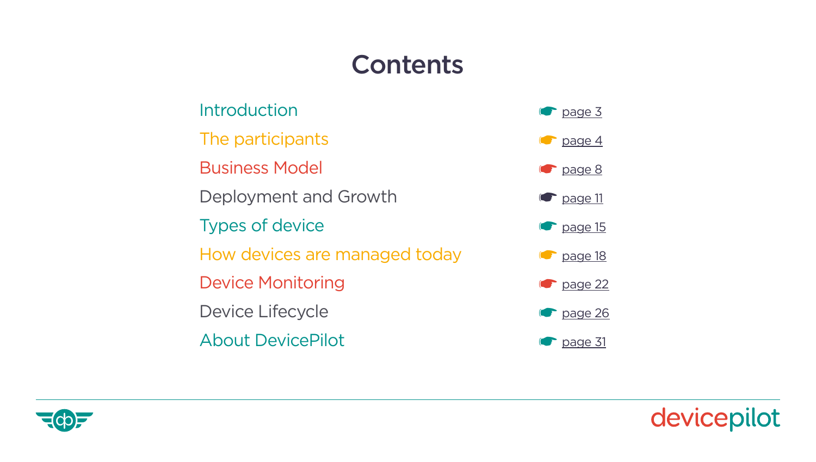# **Contents**

| Introduction                  | $\bullet$ page 3  |
|-------------------------------|-------------------|
| The participants              | $\bullet$ page 4  |
| <b>Business Model</b>         | $\bullet$ page 8  |
| Deployment and Growth         | $\bullet$ page 11 |
| <b>Types of device</b>        | $\bullet$ page 15 |
| How devices are managed today | $\bullet$ page 18 |
| <b>Device Monitoring</b>      | $\bullet$ page 22 |
| Device Lifecycle              | $\bullet$ page 26 |
| <b>About DevicePilot</b>      | page 31           |





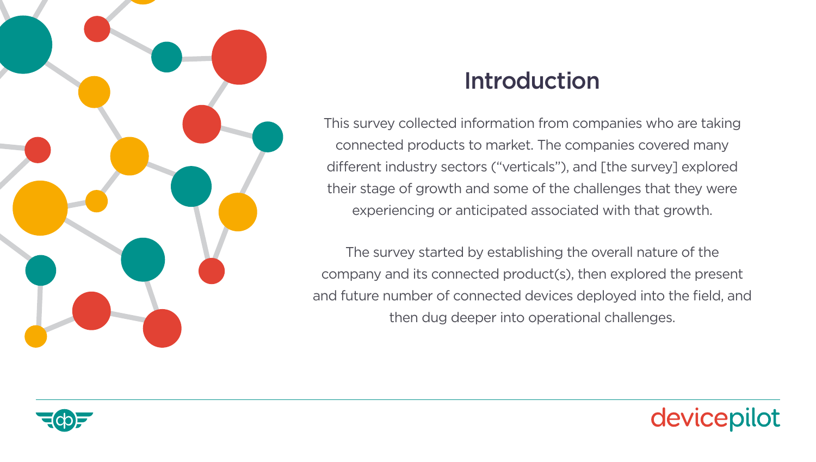<span id="page-2-0"></span>

### Introduction

This survey collected information from companies who are taking connected products to market. The companies covered many different industry sectors ("verticals"), and [the survey] explored their stage of growth and some of the challenges that they were experiencing or anticipated associated with that growth.

The survey started by establishing the overall nature of the company and its connected product(s), then explored the present and future number of connected devices deployed into the field, and then dug deeper into operational challenges.



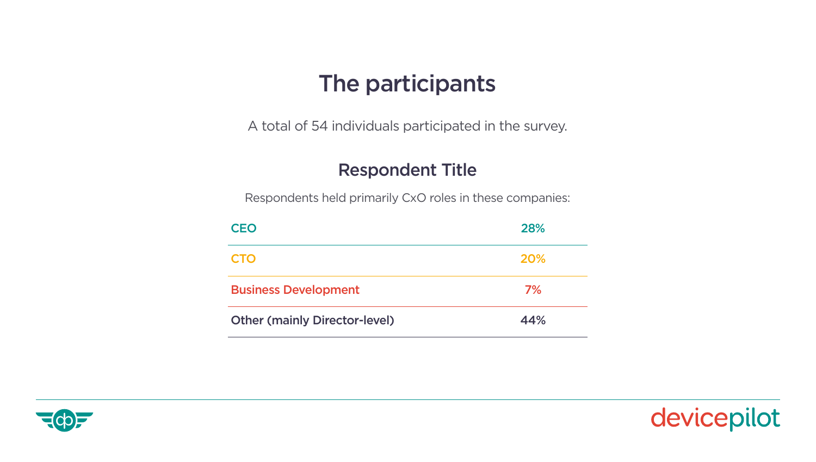### The participants

<span id="page-3-0"></span>A total of 54 individuals participated in the survey.

#### Respondent Title

Respondents held primarily CxO roles in these companies:

| <b>CEO</b>                           | 28% |
|--------------------------------------|-----|
| <b>CTO</b>                           | 20% |
| <b>Business Development</b>          | 7%  |
| <b>Other (mainly Director-level)</b> | 44% |



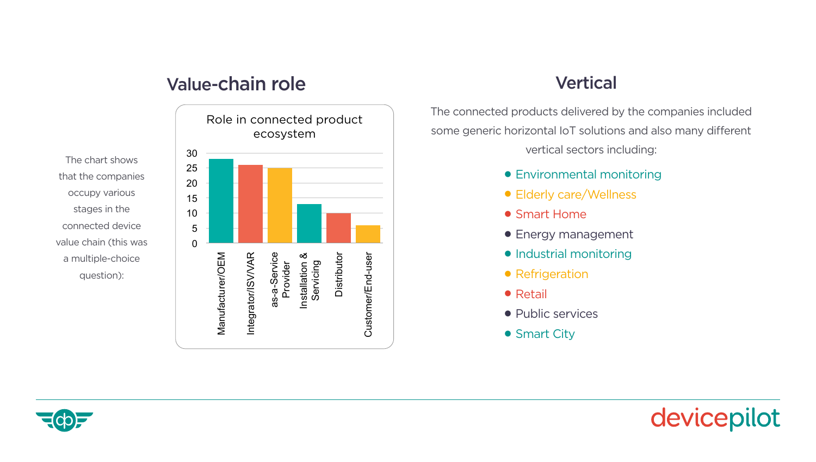#### The chart below shows that the companies occupy various stages in the connected device value chain (this was a multiple-choice question): Value-chain role Vertical

The chart shows that the companies occupy various stages in the connected device value chain (this was a multiple-choice question):



solutions and also many different vertical sectors including:

The connected products delivered by the companies included some generic horizontal IoT solutions and also many different vertical sectors including:

- **•** Environmental monitoring
- **•** Elderly care/Wellness
- **•** Smart Home
- **•** Energy management
- **•** Industrial monitoring
- **•** Refrigeration
- **•** Retail
- **•** Public services
- **•** Smart City



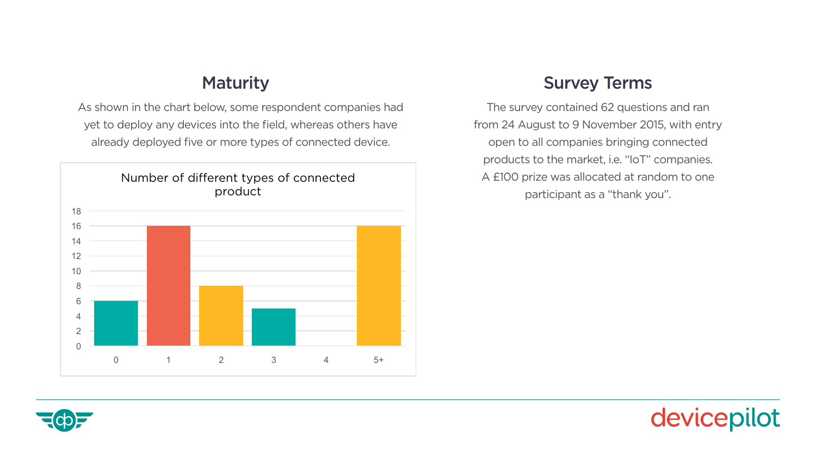As shown in the chart below, some respondent companies had yet to deploy any devices into the field, whereas others have **the contact of the contact of the contact** from 2<br> already deployed five or more types of connected device.



### Maturity **Survey Terms**

The survey contained 62 questions and ran from 24 August to 9 November 2015, with entry open to all companies bringing connected products to the market, i.e. "IoT" companies. A £100 prize was allocated at random to one participant as a "thank you".



Survey Terms

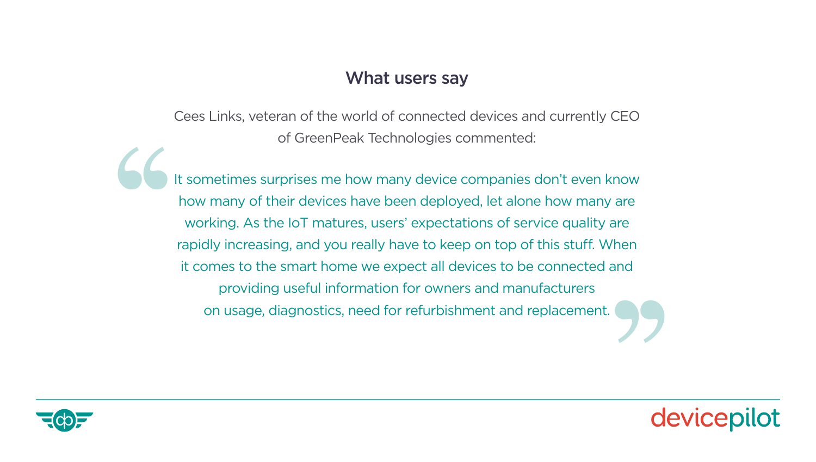#### What users say

Cees Links, veteran of the world of connected devices and currently CEO of GreenPeak Technologies commented:

It sometimes surprises me how many device companies don't even know how many of their devices have been deployed, let alone how many are working. As the IoT matures, users' expectations of service quality are rapidly increasing, and you really have to keep on top of this stuff. When it comes to the smart home we expect all devices to be connected and providing useful information for owners and manufacturers on usage, diagnostics, need for refurbishment and replacement. 66 It ''



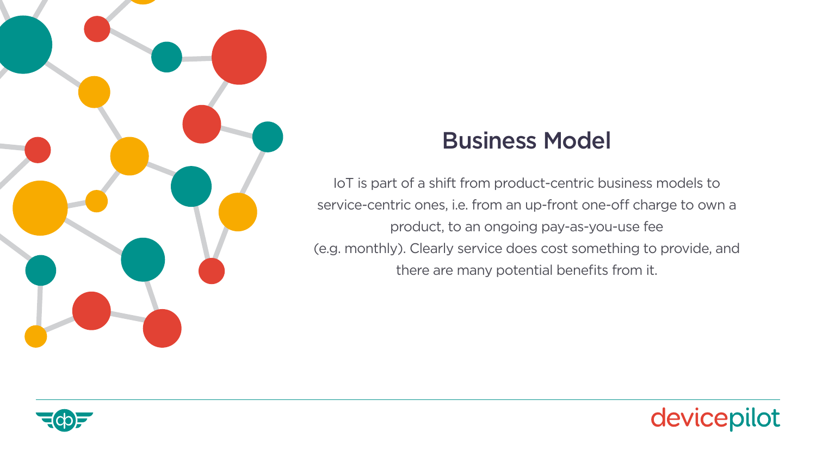<span id="page-7-0"></span>

# Business Model

IoT is part of a shift from product-centric business models to service-centric ones, i.e. from an up-front one-off charge to own a product, to an ongoing pay-as-you-use fee (e.g. monthly). Clearly service does cost something to provide, and there are many potential benefits from it.



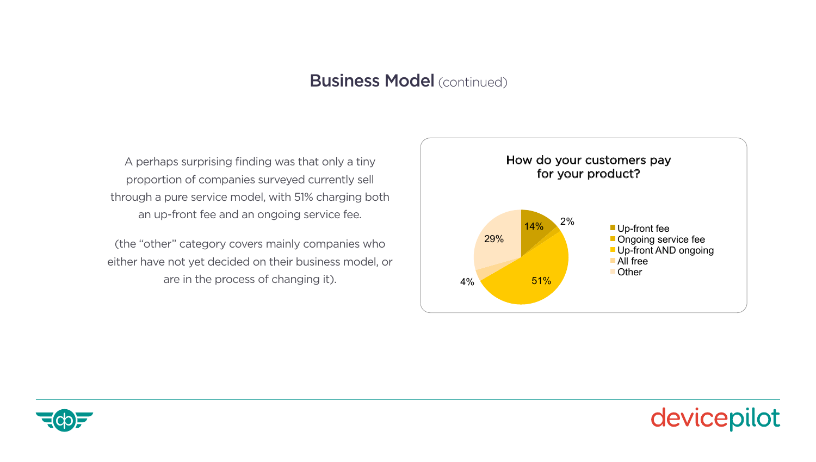#### **Business Model** (continued) **Example 3** and the provide of provide, and there are many many service  $\mathbf{C}$

A perhaps surprising finding was that only a tiny proportion of companies surveyed currently sell through a pure service model, with 51% charging both an up-front fee and an ongoing service fee.

(the "other" category covers mainly companies who either have not yet decided on their business model, or are in the process of changing it).





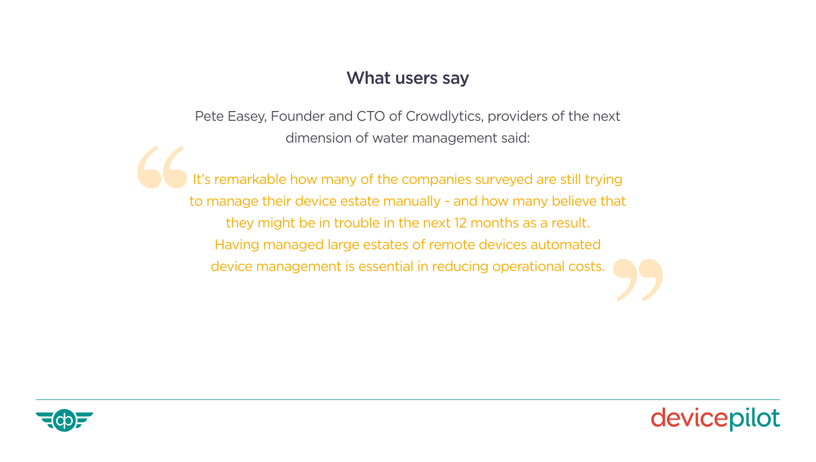#### What users say

Pete Easey, Founder and CTO of Crowdlytics, providers of the next dimension of water management said:

It's remarkable how many of the companies surveyed are still trying to manage their device estate manually - and how many believe that they might be in trouble in the next 12 months as a result. Having managed large estates of remote devices automated '' device management is essential in reducing operational costs.



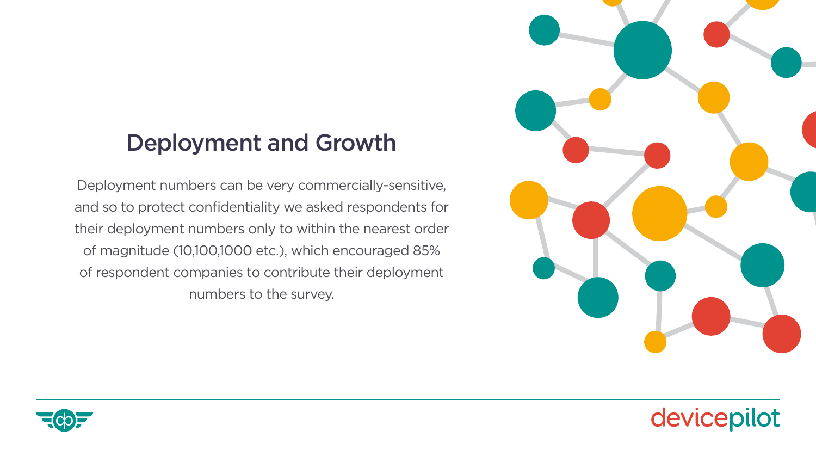# <span id="page-10-0"></span>Deployment and Growth

Deployment numbers can be very commercially-sensitive, and so to protect confidentiality we asked respondents for their deployment numbers only to within the nearest order of magnitude (10,100,1000 etc.), which encouraged 85% of respondent companies to contribute their deployment numbers to the survey.





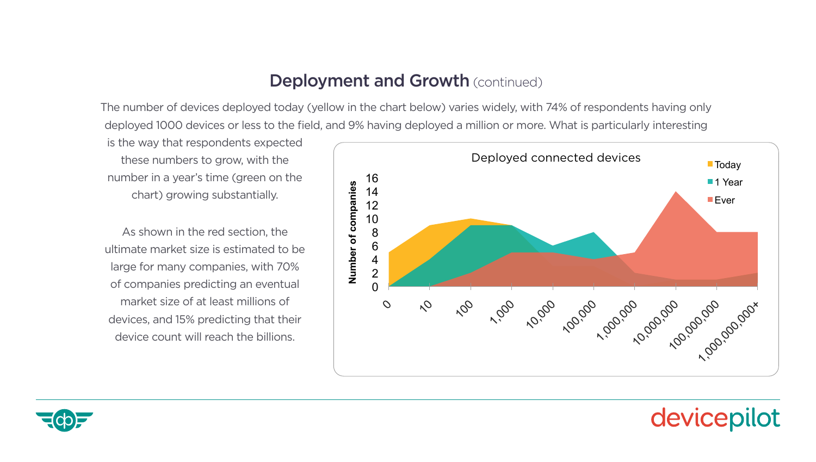### Deployment and Growth (continued)

The number of devices deployed today (yellow in the chart below) varies widely, with 74% of respondents having only deployed 1000 devices or less to the field, and 9% having deployed a million or more. What is particularly interesting As shown in the red section, the ultimate market size is estimated to be large for many ow in the chart below) vanes widely, with 74% or respondents having only

is the way that respondents expected these numbers to grow, with the number in a year's time (green on the chart) growing substantially.

As shown in the red section, the ultimate market size is estimated to be large for many companies, with 70% of companies predicting an eventual market size of at least millions of devices, and 15% predicting that their device count will reach the billions.





#### year growth of each company below, with a significant majority of companies (61%) believing they'll see 10x growth of devices over the next year (to the next year (to the next year (to the near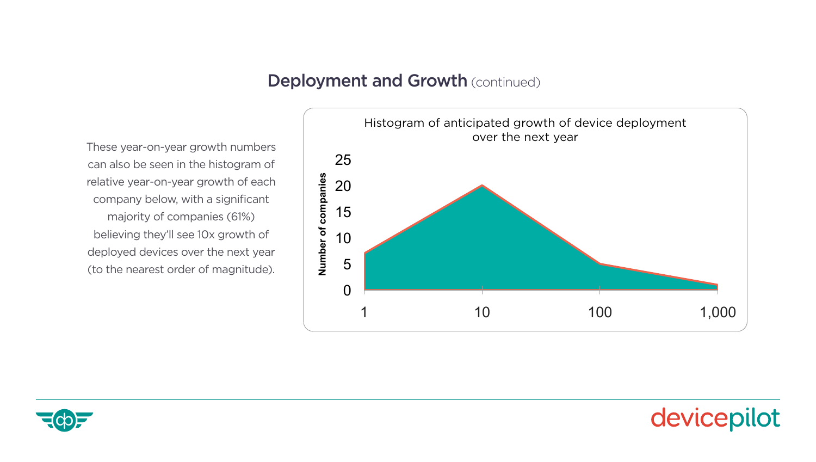### Deployment and Growth (continued)

These year-on-year growth numbers can also be seen in the histogram of relative year-on-year growth of each company below, with a significant majority of companies (61%) believing they'll see 10x growth of deployed devices over the next year (to the nearest order of magnitude).





devicepilot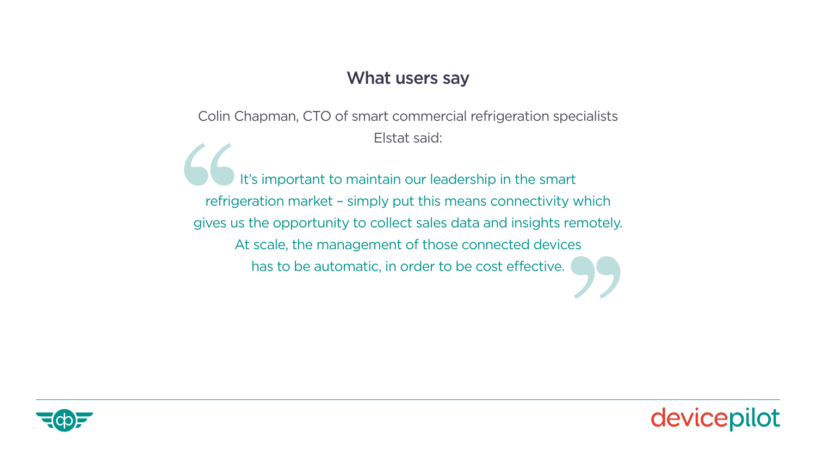#### What users say

Colin Chapman, CTO of smart commercial refrigeration specialists Elstat said:

It's important to maintain our leadership in the smart refrigeration market – simply put this means connectivity which gives us the opportunity to collect sales data and insights remotely. At scale, the management of those connected devices It'<br>
refriger<br>
gives us t<br>
At has to be automatic, in order to be cost effective.



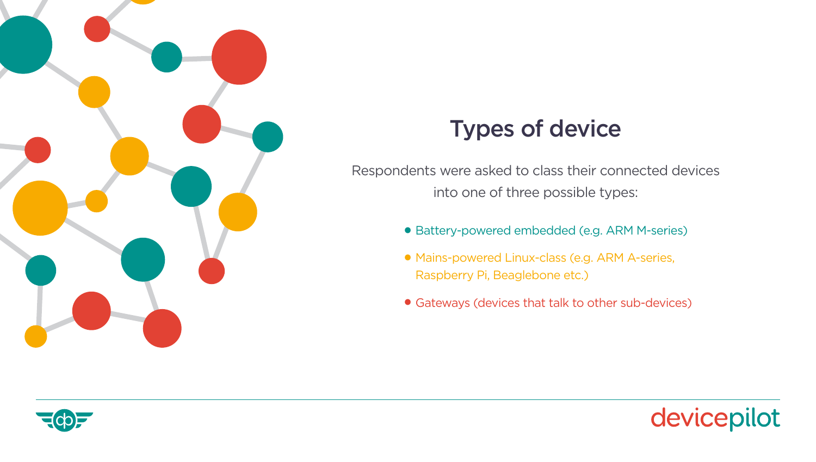<span id="page-14-0"></span>

## Types of device

Respondents were asked to class their connected devices into one of three possible types:

- **•** Battery-powered embedded (e.g. ARM M-series)
- **•** Mains-powered Linux-class (e.g. ARM A-series, Raspberry Pi, Beaglebone etc.)
- **•** Gateways (devices that talk to other sub-devices)



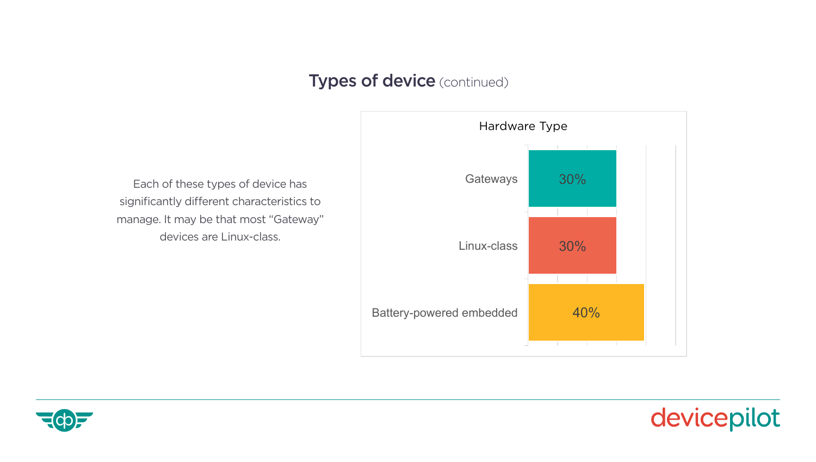### **Types of device** (continued) **Each of the significantly different characteristics to manage. It may be significantly different characteristics to manage. It may be significantly different characteristics to manage. It may**

Each of these types of device has significantly different characteristics to manage. It may be that most "Gateway" devices are Linux-class.



The survey then explored then explored then explored the ways in  $\mathcal{L}_{\mathcal{A}}$  connected products manage their connected products  $\mathcal{L}_{\mathcal{A}}$ 



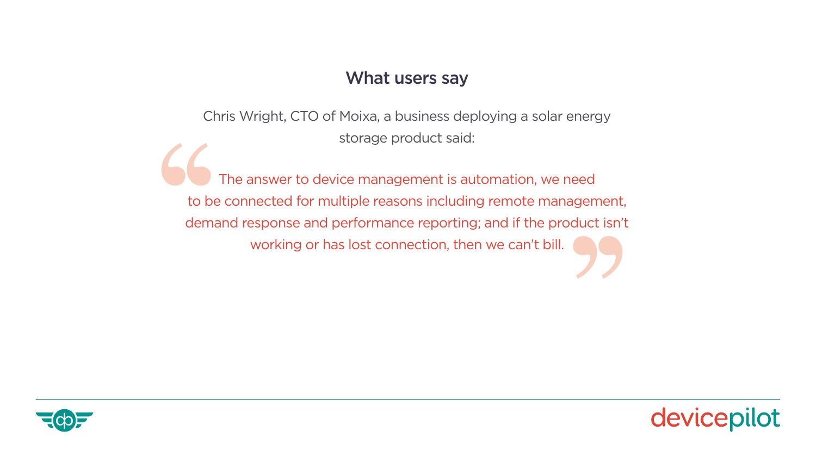#### What users say

Chris Wright, CTO of Moixa, a business deploying a solar energy storage product said:

The answer to device management is automation, we need to be connected for multiple reasons including remote management, demand response and performance reporting; and if the product isn't T<br>
to be deman working or has lost connection, then we can't bill.



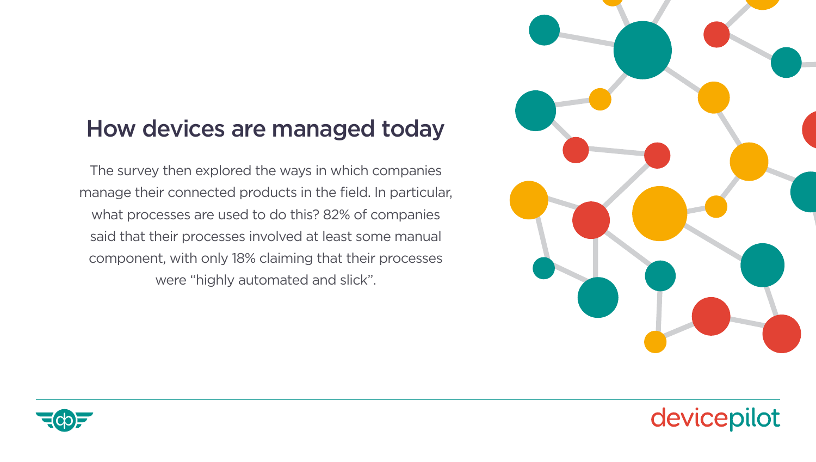### <span id="page-17-0"></span>How devices are managed today

The survey then explored the ways in which companies manage their connected products in the field. In particular, what processes are used to do this? 82% of companies said that their processes involved at least some manual component, with only 18% claiming that their processes were "highly automated and slick".





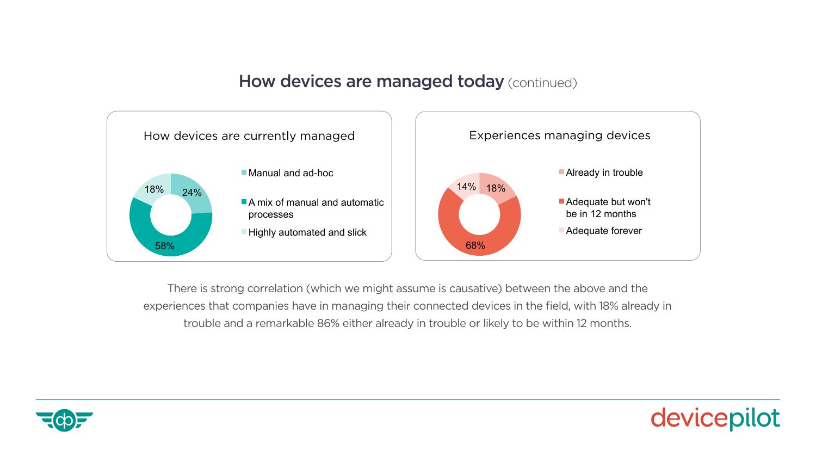#### **How devices are managed today** (continued) **How devices are managed today** (continued)



There is strong correlation (which we might assume is causative) between the above and the experiences that companies have in managing their connected devices in the field, with 18% already in within 12 months. between. The findings are that "risk to growth" is seen as the worst consequence, and trouble and a remarkable 86% either already in trouble or likely to be within 12 months.<br>'

Already in trouble



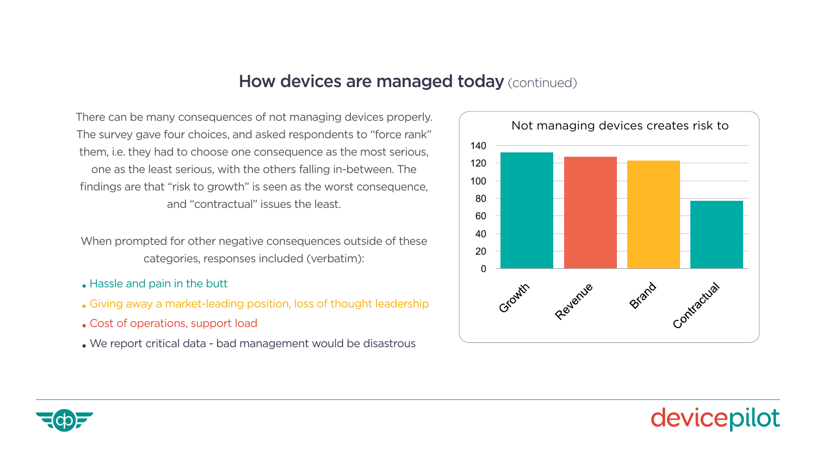#### How devices are managed today (continued)

There can be many consequences of not managing devices properly. The survey gave four choices, and asked respondents to "force rank" them, i.e. they had to choose one consequence as the most serious, one as the least serious, with the others falling in-between. The findings are that "risk to growth" is seen as the worst consequence, and "contractual" issues the least.

When prompted for other negative consequences outside of these categories, responses included (verbatim):

- **•** Hassle and pain in the butt
- **•** Giving away a market-leading position, loss of thought leadership
- **•** Cost of operations, support load
- **•** We report critical data bad management would be disastrous



 $\bullet$  we report contains the disastrous data  $\bullet$ 

devicepilot

 $\mathbf{e}^{i\mathbf{e}}$  and pain in the button in the button in the button in the button in the button in the button in the button in the button in the button in the button in the button in the button in the button in the button

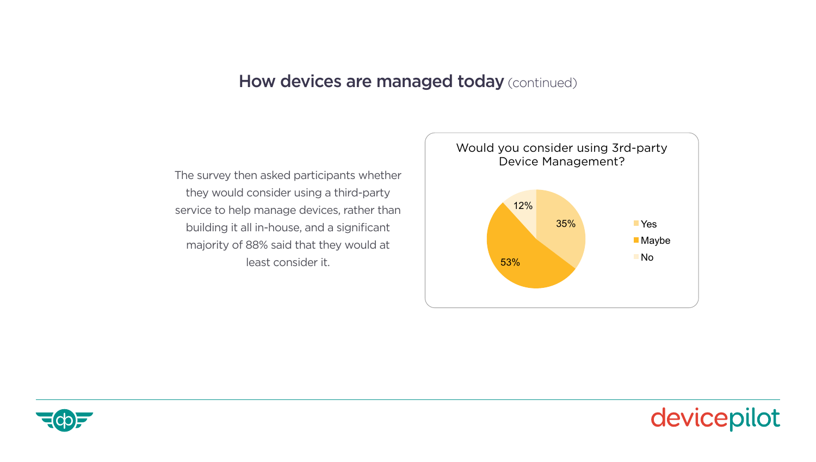### How devices are managed today (continued) **How devices are managed today** (continued)

The survey then asked participants whether they would consider using a third-party service to help manage devices, rather than building it all in-house, and a significant majority of 88% said that they would at least consider it.





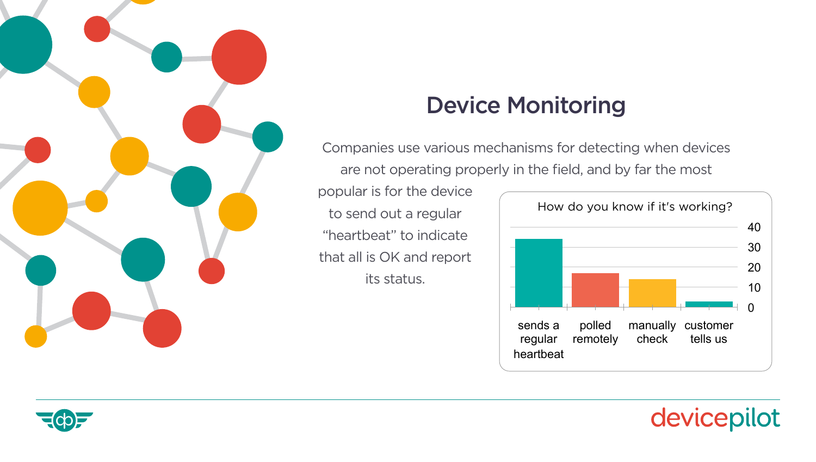<span id="page-21-0"></span>

# Device Monitoring

Companies use various mechanisms for detecting when devices are not operating properly in the field, and by far the most

popular is for the device to send out a regular "heartbeat" to indicate that all is OK and report its status.



not a trivial question (presumably there are multiple states between 'everything working devicepilot

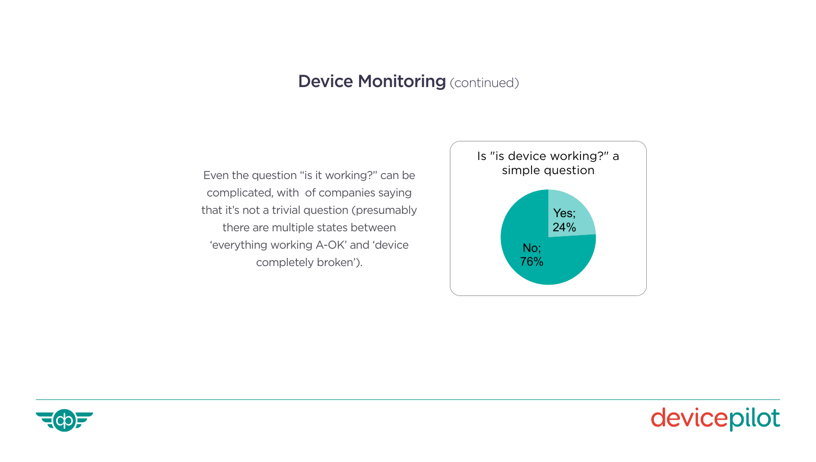### **Device Monitoring (continued)**

Even the question "is it working?" can be complicated, with of companies saying that it's not a trivial question (presumably there are multiple states between 'everything working A-OK' and 'device completely broken').





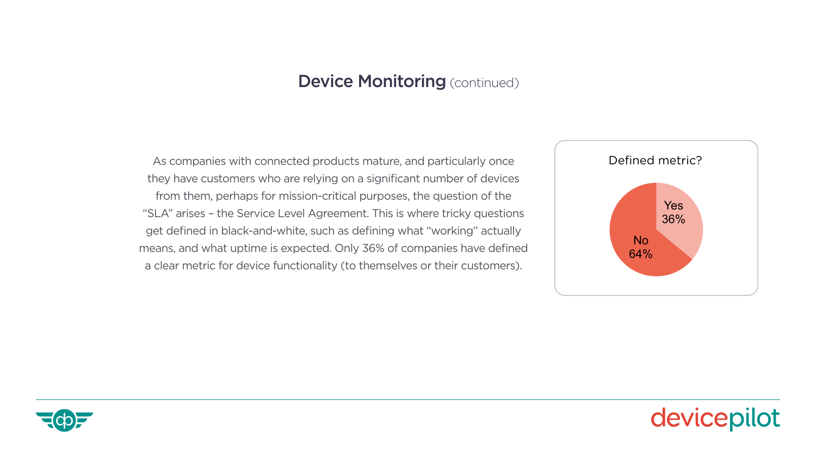#### **Device Monitoring (continued)**

As companies with connected products mature, and particularly once they have customers who are relying on a significant number of devices from them, perhaps for mission-critical purposes, the question of the "SLA" arises – the Service Level Agreement. This is where tricky questions get defined in black-and-white, such as defining what "working" actually means, and what uptime is expected. Only 36% of companies have defined a clear metric for device functionality (to themselves or their customers).





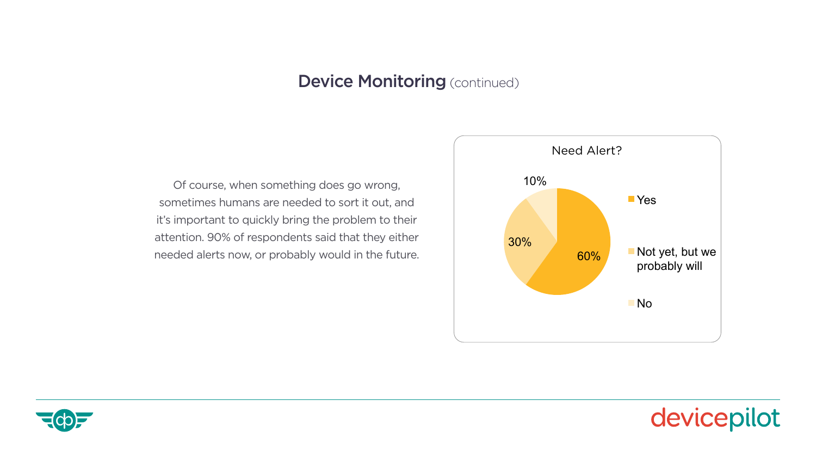#### $\omega$ renn som $\mu$ **Device Monitoring (continued)**

Of course, when something does go wrong, sometimes humans are needed to sort it out, and it's important to quickly bring the problem to their attention. 90% of respondents said that they either needed alerts now, or probably would in the future.





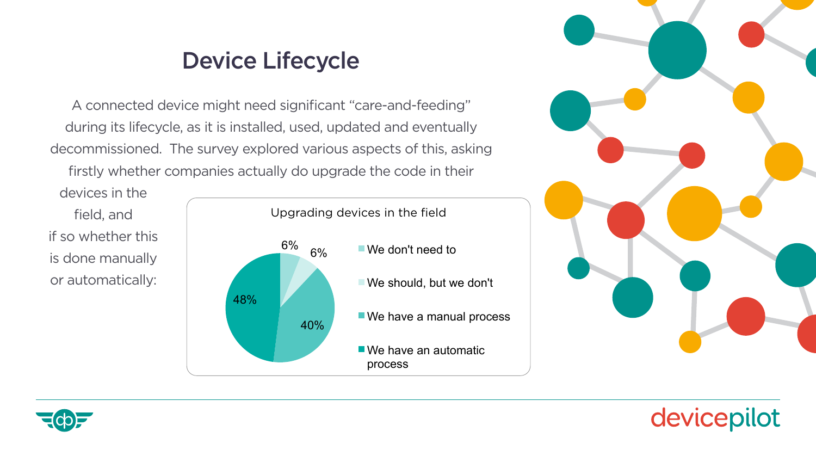### Device Lifecycle

<span id="page-25-0"></span>A connected device might need significant "care-and-feeding" during its lifecycle, as it is installed, used, updated and eventually decommissioned. The survey explored various aspects of this, asking **the care-and-feeding** firstly whether companies actually do upgrade the code in their le survey explored various aspects of this, asking devices in the field, and if so whether this is done manually or automatically or automatically or automatically:

devices in the field, and if so whether this is done manually or automatically:





devicepilot

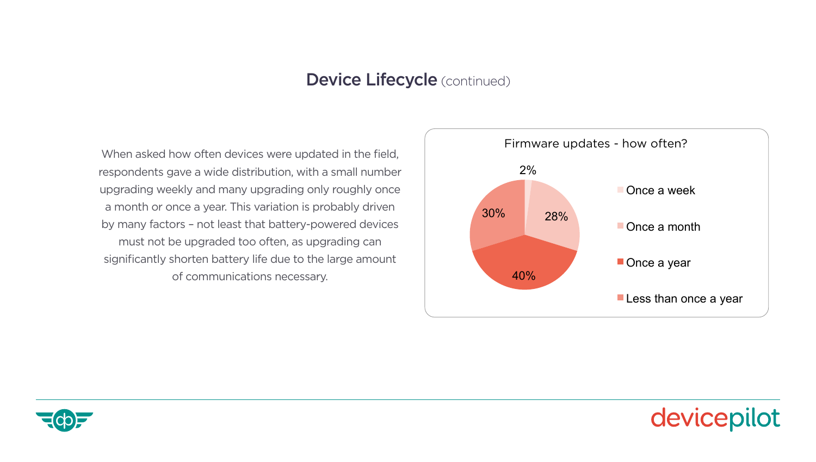#### Device Lifecycle (continued)<br>Device Lifecycle (continued)  $\overline{\mathbf{G}}$  (continued). The variation is probably driven by many factors  $\mathbf{G}$

When asked how often devices were updated in the field, respondents gave a wide distribution, with a small number upgrading weekly and many upgrading only roughly once a month or once a year. This variation is probably driven by many factors – not least that battery-powered devices must not be upgraded too often, as upgrading can significantly shorten battery life due to the large amount of communications necessary.



indicating increasing increasing maturity. The second control of the second control of the second control of t<br>The second control of the second control of the second control of the second control of the second control of



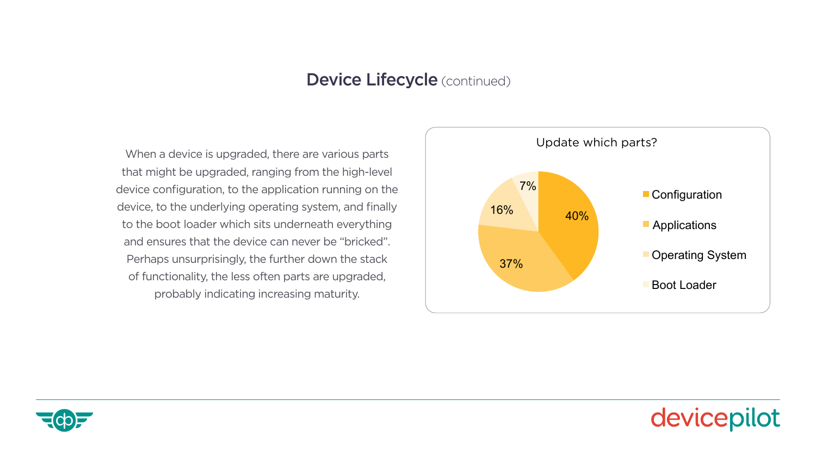#### Device Lifecycle (continued)

When a device is upgraded, there are various parts that might be upgraded, ranging from the high-level device configuration, to the application running on the device, to the underlying operating system, and finally to the boot loader which sits underneath everything and ensures that the device can never be "bricked". Perhaps unsurprisingly, the further down the stack of functionality, the less often parts are upgraded, probably indicating increasing maturity.





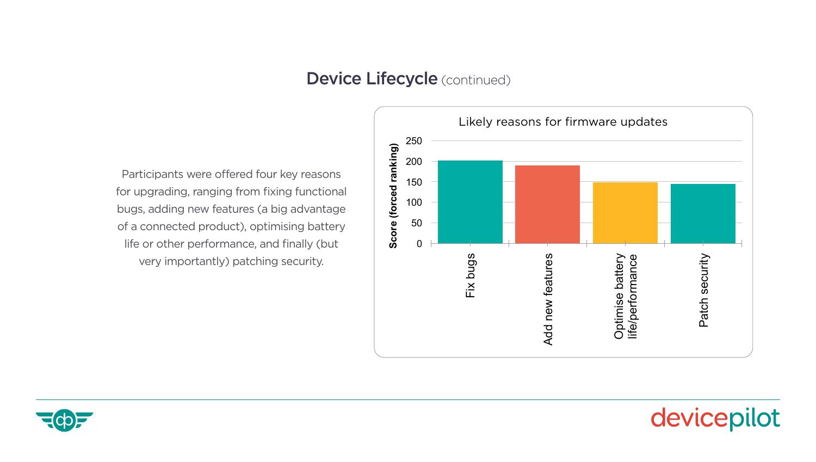### **Device Lifecycle** (continued) **connected products** and a big advantage of a connected product products and a connected product products and a connected product product products are new functional products. The connected p

Participants were offered four key reasons for upgrading, ranging from fixing functional bugs, adding new features (a big advantage of a connected product), optimising battery life or other performance, and finally (but very importantly) patching security.



1248 designs and supplies scalable, deployable Enterprise IoT Infrastructure, based on the



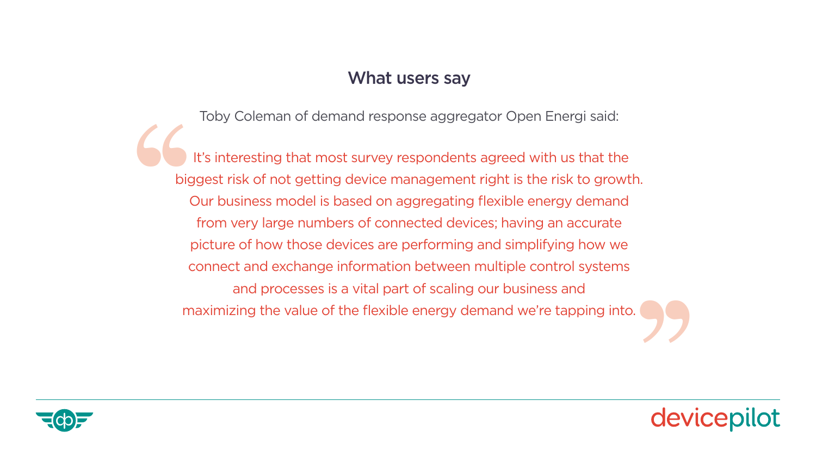#### What users say

Toby Coleman of demand response aggregator Open Energi said:

 It's interesting that most survey respondents agreed with us that the biggest risk of not getting device management right is the risk to growth. Our business model is based on aggregating flexible energy demand from very large numbers of connected devices; having an accurate picture of how those devices are performing and simplifying how we connect and exchange information between multiple control systems and processes is a vital part of scaling our business and maximizing the value of the flexible energy demand we're tapping into. The Magnetic Co ''



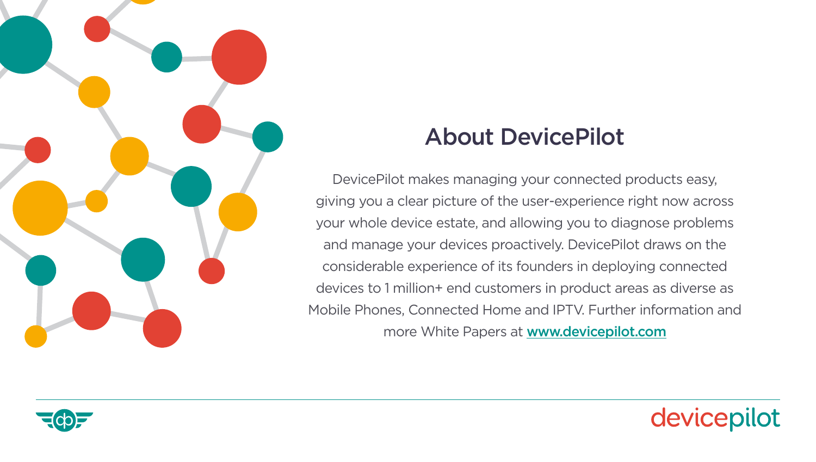<span id="page-30-0"></span>

### About DevicePilot

DevicePilot makes managing your connected products easy, giving you a clear picture of the user-experience right now across your whole device estate, and allowing you to diagnose problems and manage your devices proactively. DevicePilot draws on the considerable experience of its founders in deploying connected devices to 1 million+ end customers in product areas as diverse as Mobile Phones, Connected Home and IPTV. Further information and more White Papers at **[www.devicepilot.com](http://www.devicepilot.com)**